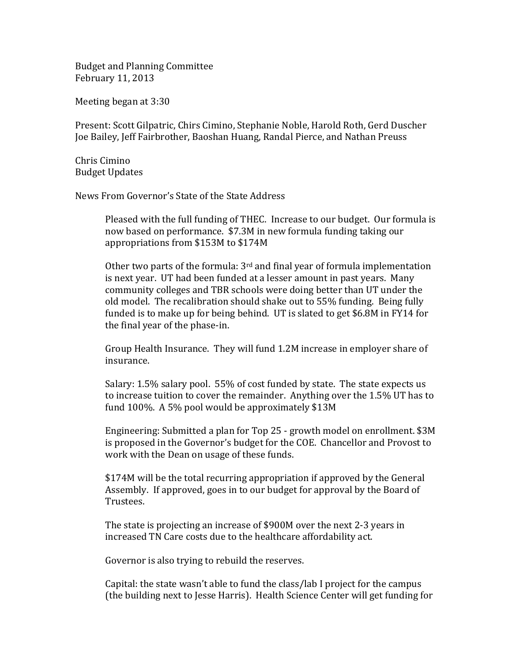Budget and Planning Committee February 11, 2013

Meeting began at 3:30

Present: Scott Gilpatric, Chirs Cimino, Stephanie Noble, Harold Roth, Gerd Duscher Joe Bailey, Jeff Fairbrother, Baoshan Huang, Randal Pierce, and Nathan Preuss

Chris Cimino Budget Updates

News From Governor's State of the State Address

Pleased with the full funding of THEC. Increase to our budget. Our formula is now based on performance. \$7.3M in new formula funding taking our appropriations from \$153M to \$174M

Other two parts of the formula:  $3<sup>rd</sup>$  and final year of formula implementation is next year. UT had been funded at a lesser amount in past years. Many community colleges and TBR schools were doing better than UT under the old model. The recalibration should shake out to 55% funding. Being fully funded is to make up for being behind. UT is slated to get \$6.8M in FY14 for the final year of the phase‐in.

Group Health Insurance. They will fund 1.2M increase in employer share of insurance.

Salary: 1.5% salary pool. 55% of cost funded by state. The state expects us to increase tuition to cover the remainder. Anything over the 1.5% UT has to fund 100%. A 5% pool would be approximately \$13M

Engineering: Submitted a plan for Top 25 ‐ growth model on enrollment. \$3M is proposed in the Governor's budget for the COE. Chancellor and Provost to work with the Dean on usage of these funds.

\$174M will be the total recurring appropriation if approved by the General Assembly. If approved, goes in to our budget for approval by the Board of Trustees.

The state is projecting an increase of \$900M over the next 2‐3 years in increased TN Care costs due to the healthcare affordability act.

Governor is also trying to rebuild the reserves.

Capital: the state wasn't able to fund the class/lab I project for the campus (the building next to Jesse Harris). Health Science Center will get funding for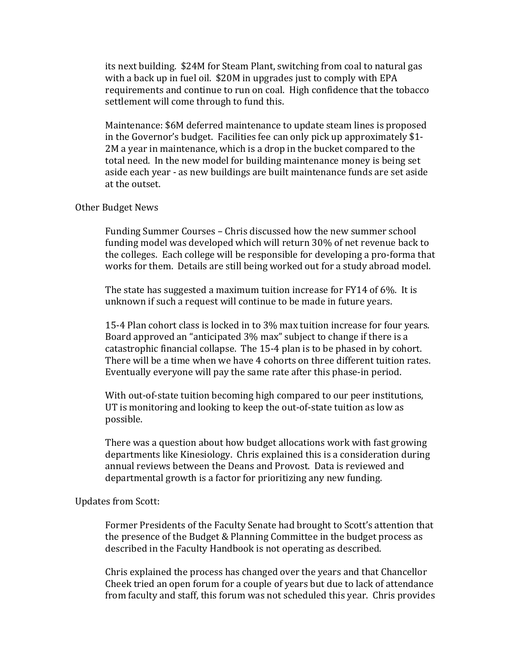its next building. \$24M for Steam Plant, switching from coal to natural gas with a back up in fuel oil. \$20M in upgrades just to comply with EPA requirements and continue to run on coal. High confidence that the tobacco settlement will come through to fund this.

Maintenance: \$6M deferred maintenance to update steam lines is proposed in the Governor's budget. Facilities fee can only pick up approximately \$1‐ 2M a year in maintenance, which is a drop in the bucket compared to the total need. In the new model for building maintenance money is being set aside each year ‐ as new buildings are built maintenance funds are set aside at the outset.

## Other Budget News

Funding Summer Courses – Chris discussed how the new summer school funding model was developed which will return 30% of net revenue back to the colleges. Each college will be responsible for developing a pro‐forma that works for them. Details are still being worked out for a study abroad model.

The state has suggested a maximum tuition increase for FY14 of 6%. It is unknown if such a request will continue to be made in future years.

15‐4 Plan cohort class is locked in to 3% max tuition increase for four years. Board approved an "anticipated 3% max" subject to change if there is a catastrophic financial collapse. The 15‐4 plan is to be phased in by cohort. There will be a time when we have 4 cohorts on three different tuition rates. Eventually everyone will pay the same rate after this phase‐in period.

With out-of-state tuition becoming high compared to our peer institutions, UT is monitoring and looking to keep the out‐of‐state tuition as low as possible.

There was a question about how budget allocations work with fast growing departments like Kinesiology. Chris explained this is a consideration during annual reviews between the Deans and Provost. Data is reviewed and departmental growth is a factor for prioritizing any new funding.

## Updates from Scott:

Former Presidents of the Faculty Senate had brought to Scott's attention that the presence of the Budget & Planning Committee in the budget process as described in the Faculty Handbook is not operating as described.

Chris explained the process has changed over the years and that Chancellor Cheek tried an open forum for a couple of years but due to lack of attendance from faculty and staff, this forum was not scheduled this year. Chris provides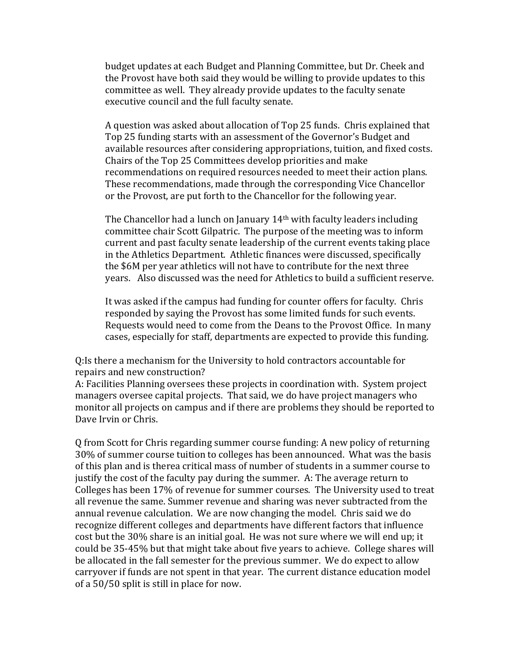budget updates at each Budget and Planning Committee, but Dr. Cheek and the Provost have both said they would be willing to provide updates to this committee as well. They already provide updates to the faculty senate executive council and the full faculty senate.

A question was asked about allocation of Top 25 funds. Chris explained that Top 25 funding starts with an assessment of the Governor's Budget and available resources after considering appropriations, tuition, and fixed costs. Chairs of the Top 25 Committees develop priorities and make recommendations on required resources needed to meet their action plans. These recommendations, made through the corresponding Vice Chancellor or the Provost, are put forth to the Chancellor for the following year.

The Chancellor had a lunch on January 14<sup>th</sup> with faculty leaders including committee chair Scott Gilpatric. The purpose of the meeting was to inform current and past faculty senate leadership of the current events taking place in the Athletics Department. Athletic finances were discussed, specifically the \$6M per year athletics will not have to contribute for the next three years. Also discussed was the need for Athletics to build a sufficient reserve.

It was asked if the campus had funding for counter offers for faculty. Chris responded by saying the Provost has some limited funds for such events. Requests would need to come from the Deans to the Provost Office. In many cases, especially for staff, departments are expected to provide this funding.

Q:Is there a mechanism for the University to hold contractors accountable for repairs and new construction?

A: Facilities Planning oversees these projects in coordination with. System project managers oversee capital projects. That said, we do have project managers who monitor all projects on campus and if there are problems they should be reported to Dave Irvin or Chris.

Q from Scott for Chris regarding summer course funding: A new policy of returning 30% of summer course tuition to colleges has been announced. What was the basis of this plan and is therea critical mass of number of students in a summer course to justify the cost of the faculty pay during the summer. A: The average return to Colleges has been 17% of revenue for summer courses. The University used to treat all revenue the same. Summer revenue and sharing was never subtracted from the annual revenue calculation. We are now changing the model. Chris said we do recognize different colleges and departments have different factors that influence cost but the 30% share is an initial goal. He was not sure where we will end up; it could be 35‐45% but that might take about five years to achieve. College shares will be allocated in the fall semester for the previous summer. We do expect to allow carryover if funds are not spent in that year. The current distance education model of a 50/50 split is still in place for now.